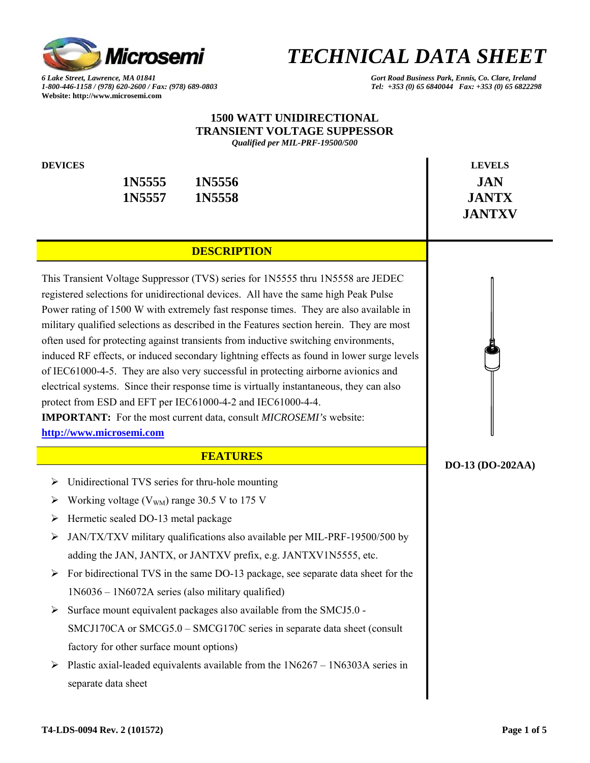

*1-800-446-1158 / (978) 620-2600 / Fax: (978) 689-0803 Tel: +353 (0) 65 6840044 Fax: +353 (0) 65 6822298*  **Website: http://www.microsemi.com** 

### *6 Lake Street, Lawrence, MA 01841 Gort Road Business Park, Ennis, Co. Clare, Ireland*

#### **1500 WATT UNIDIRECTIONAL TRANSIENT VOLTAGE SUPPESSOR** *Qualified per MIL-PRF-19500/500*

**DEVICES** LEVELS

**1N5555 1N5556 JAN** 1N5557 1N5558 **JANTX** 

 **JANTXV** 

### **DESCRIPTION**

This Transient Voltage Suppressor (TVS) series for 1N5555 thru 1N5558 are JEDEC registered selections for unidirectional devices. All have the same high Peak Pulse Power rating of 1500 W with extremely fast response times. They are also available in military qualified selections as described in the Features section herein. They are most often used for protecting against transients from inductive switching environments, induced RF effects, or induced secondary lightning effects as found in lower surge levels of IEC61000-4-5. They are also very successful in protecting airborne avionics and electrical systems. Since their response time is virtually instantaneous, they can also protect from ESD and EFT per IEC61000-4-2 and IEC61000-4-4.

**IMPORTANT:** For the most current data, consult *MICROSEMI's* website: **http://www.microsemi.com**

#### **FEATURES**

- ¾ Unidirectional TVS series for thru-hole mounting
- $\triangleright$  Working voltage (V<sub>WM</sub>) range 30.5 V to 175 V
- ¾ Hermetic sealed DO-13 metal package
- $\triangleright$  JAN/TX/TXV military qualifications also available per MIL-PRF-19500/500 by adding the JAN, JANTX, or JANTXV prefix, e.g. JANTXV1N5555, etc.
- $\triangleright$  For bidirectional TVS in the same DO-13 package, see separate data sheet for the 1N6036 – 1N6072A series (also military qualified)
- $\triangleright$  Surface mount equivalent packages also available from the SMCJ5.0 -SMCJ170CA or SMCG5.0 – SMCG170C series in separate data sheet (consult factory for other surface mount options)
- $\triangleright$  Plastic axial-leaded equivalents available from the 1N6267 1N6303A series in separate data sheet



#### **DO-13 (DO-202AA)**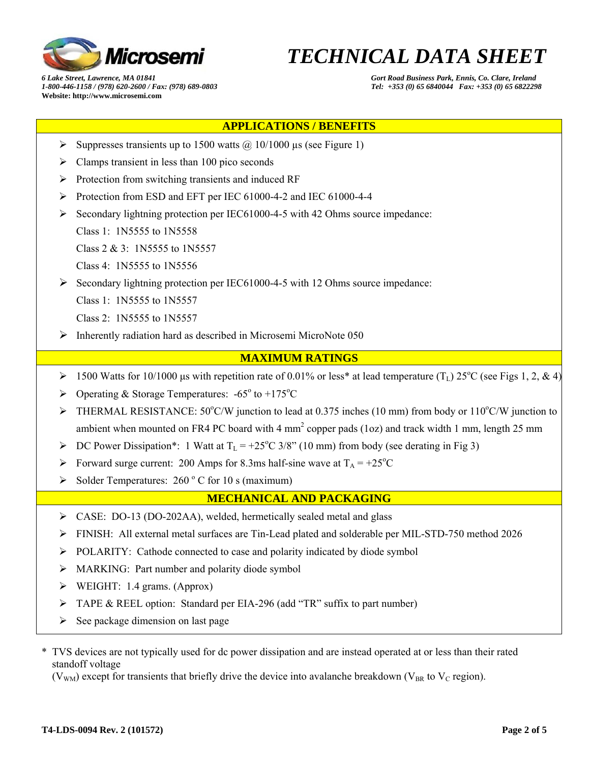

*6 Lake Street, Lawrence, MA 01841 Gort Road Business Park, Ennis, Co. Clare, Ireland 1-800-446-1158 / (978) 620-2600 / Fax: (978) 689-0803 Tel: +353 (0) 65 6840044 Fax: +353 (0) 65 6822298*  **Website: http://www.microsemi.com** 

## **APPLICATIONS / BENEFITS**

- $\triangleright$  Suppresses transients up to 1500 watts  $\omega$  10/1000 µs (see Figure 1)
- $\triangleright$  Clamps transient in less than 100 pico seconds
- ¾ Protection from switching transients and induced RF
- ¾ Protection from ESD and EFT per IEC 61000-4-2 and IEC 61000-4-4
- $\triangleright$  Secondary lightning protection per IEC61000-4-5 with 42 Ohms source impedance:
	- Class 1: 1N5555 to 1N5558

Class 2 & 3: 1N5555 to 1N5557

Class 4: 1N5555 to 1N5556

¾ Secondary lightning protection per IEC61000-4-5 with 12 Ohms source impedance:

Class 1: 1N5555 to 1N5557

Class 2: 1N5555 to 1N5557

 $\triangleright$  Inherently radiation hard as described in Microsemi MicroNote 050

#### **MAXIMUM RATINGS**

- $\triangleright$  1500 Watts for 10/1000 μs with repetition rate of 0.01% or less\* at lead temperature (T<sub>L</sub>) 25°C (see Figs 1, 2, & 4)
- $\triangleright$  Operating & Storage Temperatures: -65° to +175°C
- $\triangleright$  THERMAL RESISTANCE: 50°C/W junction to lead at 0.375 inches (10 mm) from body or 110°C/W junction to ambient when mounted on FR4 PC board with 4  $mm<sup>2</sup>$  copper pads (1oz) and track width 1 mm, length 25 mm
- $\triangleright$  DC Power Dissipation\*: 1 Watt at T<sub>L</sub> = +25°C 3/8" (10 mm) from body (see derating in Fig 3)
- $\triangleright$  Forward surge current: 200 Amps for 8.3ms half-sine wave at T<sub>A</sub> = +25<sup>o</sup>C
- $\triangleright$  Solder Temperatures: 260 ° C for 10 s (maximum)

#### **MECHANICAL AND PACKAGING**

- ¾ CASE: DO-13 (DO-202AA), welded, hermetically sealed metal and glass
- ¾ FINISH: All external metal surfaces are Tin-Lead plated and solderable per MIL-STD-750 method 2026
- ¾ POLARITY: Cathode connected to case and polarity indicated by diode symbol
- $\triangleright$  MARKING: Part number and polarity diode symbol
- $\triangleright$  WEIGHT: 1.4 grams. (Approx)
- ¾ TAPE & REEL option: Standard per EIA-296 (add "TR" suffix to part number)
- $\triangleright$  See package dimension on last page
- \* TVS devices are not typically used for dc power dissipation and are instead operated at or less than their rated standoff voltage

( $V_{WM}$ ) except for transients that briefly drive the device into avalanche breakdown ( $V_{BR}$  to  $V_{C}$  region).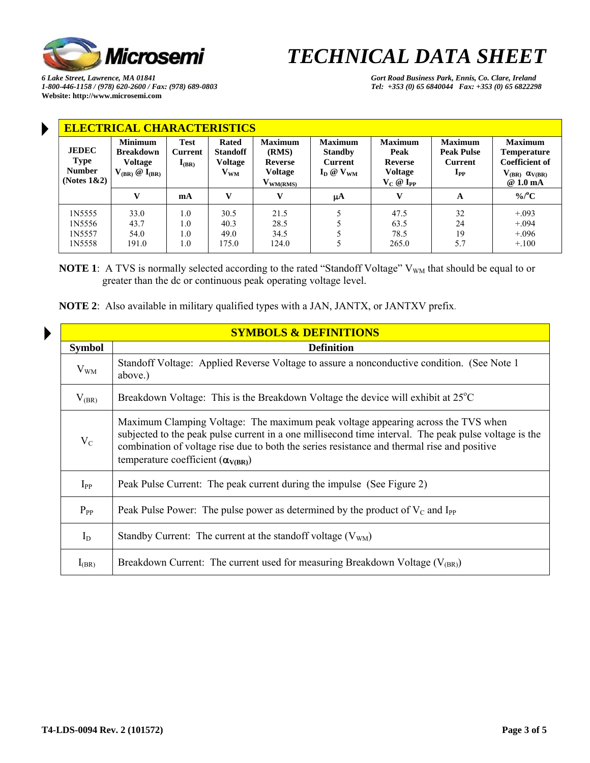

*6 Lake Street, Lawrence, MA 01841 Gort Road Business Park, Ennis, Co. Clare, Ireland 1-800-446-1158 / (978) 620-2600 / Fax: (978) 689-0803 Tel: +353 (0) 65 6840044 Fax: +353 (0) 65 6822298*  **Website: http://www.microsemi.com** 

Þ

| <b>ELECTRICAL CHARACTERISTICS</b>                       |                                                                                 |                                      |                                                          |                                                                              |                                                                      |                                                                              |                                                                            |                                                                                                                  |  |  |  |  |
|---------------------------------------------------------|---------------------------------------------------------------------------------|--------------------------------------|----------------------------------------------------------|------------------------------------------------------------------------------|----------------------------------------------------------------------|------------------------------------------------------------------------------|----------------------------------------------------------------------------|------------------------------------------------------------------------------------------------------------------|--|--|--|--|
| <b>JEDEC</b><br>Type<br><b>Number</b><br>(Notes $1&2$ ) | <b>Minimum</b><br><b>Breakdown</b><br><b>Voltage</b><br>$V_{(BR)}$ @ $I_{(BR)}$ | <b>Test</b><br>Current<br>$I_{(BR)}$ | Rated<br><b>Standoff</b><br>Voltage<br>$\mathbf{V_{WM}}$ | <b>Maximum</b><br>(RMS)<br><b>Reverse</b><br><b>Voltage</b><br>$V_{WM(RMS)}$ | <b>Maximum</b><br><b>Standby</b><br><b>Current</b><br>$I_D @ V_{WM}$ | <b>Maximum</b><br>Peak<br><b>Reverse</b><br><b>Voltage</b><br>$V_C @ I_{PP}$ | <b>Maximum</b><br><b>Peak Pulse</b><br>Current<br>$\mathbf{I}_{\text{PP}}$ | <b>Maximum</b><br><b>Temperature</b><br><b>Coefficient of</b><br>$V_{(BR)} \alpha_{V(BR)}$<br>@1.0 <sub>mA</sub> |  |  |  |  |
|                                                         | $\mathbf{V}$                                                                    | mA                                   | V                                                        | v                                                                            | μA                                                                   | $\mathbf{V}$                                                                 | A                                                                          | $\%$ /°C                                                                                                         |  |  |  |  |
| 1N5555                                                  | 33.0                                                                            | 1.0                                  | 30.5                                                     | 21.5                                                                         |                                                                      | 47.5                                                                         | 32                                                                         | $+.093$                                                                                                          |  |  |  |  |

**NOTE 1**: A TVS is normally selected according to the rated "Standoff Voltage" V<sub>WM</sub> that should be equal to or greater than the dc or continuous peak operating voltage level.

| <b>SYMBOLS &amp; DEFINITIONS</b> |                                                                                                                                                                                                                                                                                                                                        |  |  |  |  |  |  |
|----------------------------------|----------------------------------------------------------------------------------------------------------------------------------------------------------------------------------------------------------------------------------------------------------------------------------------------------------------------------------------|--|--|--|--|--|--|
| <b>Symbol</b>                    | <b>Definition</b>                                                                                                                                                                                                                                                                                                                      |  |  |  |  |  |  |
| $V_{WM}$                         | Standoff Voltage: Applied Reverse Voltage to assure a nonconductive condition. (See Note 1)<br>above.)                                                                                                                                                                                                                                 |  |  |  |  |  |  |
| $V_{(BR)}$                       | Breakdown Voltage: This is the Breakdown Voltage the device will exhibit at $25^{\circ}$ C                                                                                                                                                                                                                                             |  |  |  |  |  |  |
| $V_C$                            | Maximum Clamping Voltage: The maximum peak voltage appearing across the TVS when<br>subjected to the peak pulse current in a one millisecond time interval. The peak pulse voltage is the<br>combination of voltage rise due to both the series resistance and thermal rise and positive<br>temperature coefficient $(\alpha_{V(BR)})$ |  |  |  |  |  |  |
| $I_{PP}$                         | Peak Pulse Current: The peak current during the impulse (See Figure 2)                                                                                                                                                                                                                                                                 |  |  |  |  |  |  |
| $P_{PP}$                         | Peak Pulse Power: The pulse power as determined by the product of $V_C$ and I <sub>PP</sub>                                                                                                                                                                                                                                            |  |  |  |  |  |  |
| $I_D$                            | Standby Current: The current at the standoff voltage $(V_{WM})$                                                                                                                                                                                                                                                                        |  |  |  |  |  |  |
| $I_{(BR)}$                       | Breakdown Current: The current used for measuring Breakdown Voltage $(V_{(BR)})$                                                                                                                                                                                                                                                       |  |  |  |  |  |  |

**NOTE 2**: Also available in military qualified types with a JAN, JANTX, or JANTXV prefix.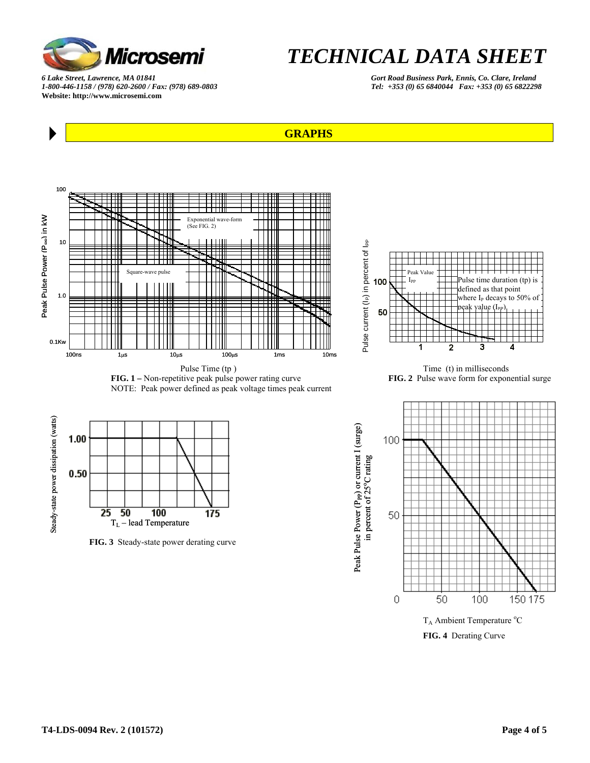

*1-800-446-1158 / (978) 620-2600 / Fax: (978) 689-0803 Tel: +353 (0) 65 6840044 Fax: +353 (0) 65 6822298*  **Website: http://www.microsemi.com** 

*6 Lake Street, Lawrence, MA 01841 Gort Road Business Park, Ennis, Co. Clare, Ireland* 





4



 **FIG. 3** Steady-state power derating curve

TL – lead Temperature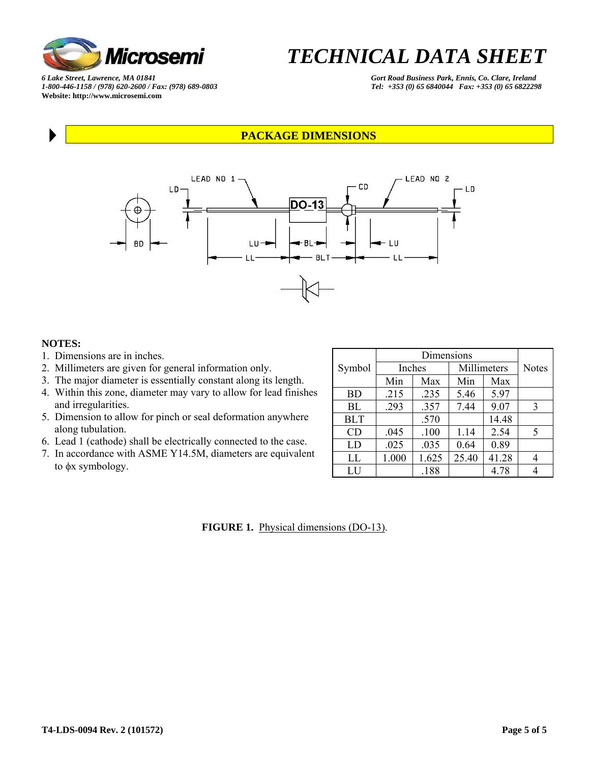![](_page_4_Picture_0.jpeg)

*6 Lake Street, Lawrence, MA 01841 Gort Road Business Park, Ennis, Co. Clare, Ireland*  **Website: http://www.microsemi.com** 

*1-800-446-1158 / (978) 620-2600 / Fax: (978) 689-0803 Tel: +353 (0) 65 6840044 Fax: +353 (0) 65 6822298* 

#### **PACKAGE DIMENSIONS**

![](_page_4_Figure_5.jpeg)

#### **NOTES:**

- 1. Dimensions are in inches.
- 2. Millimeters are given for general information only.
- 3. The major diameter is essentially constant along its length.
- 4. Within this zone, diameter may vary to allow for lead finishes and irregularities.
- 5. Dimension to allow for pinch or seal deformation anywhere along tubulation.
- 6. Lead 1 (cathode) shall be electrically connected to the case.
- 7. In accordance with ASME Y14.5M, diameters are equivalent to φx symbology.

| Symbol     |       | Inches | Millimeters | <b>Notes</b> |   |
|------------|-------|--------|-------------|--------------|---|
|            | Min   | Max    | Min         | Max          |   |
| <b>BD</b>  | .215  | .235   | 5.46        | 5.97         |   |
| BL         | .293  | .357   | 7.44        | 9.07         | 3 |
| <b>BLT</b> |       | .570   |             | 14.48        |   |
| CD         | .045  | .100   | 1.14        | 2.54         | 5 |
| LD         | .025  | .035   | 0.64        | 0.89         |   |
| LL         | 1.000 | 1.625  | 25.40       | 41.28        | 4 |
| LU         |       | .188   |             | 4.78         | Λ |

**FIGURE 1.** Physical dimensions (DO-13).